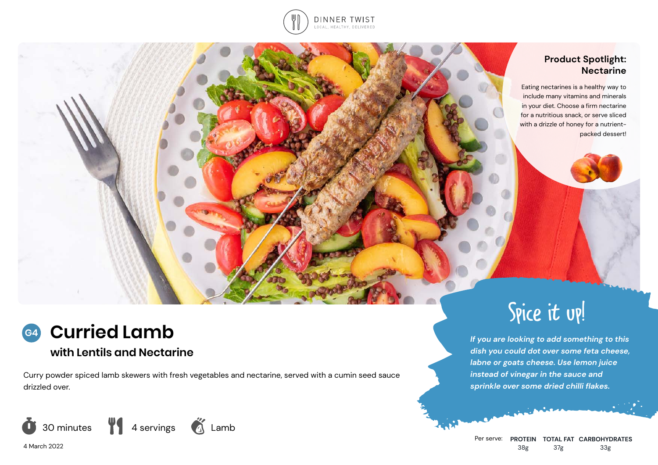

# **Product Spotlight: Nectarine**

Eating nectarines is a healthy way to include many vitamins and minerals in your diet. Choose a firm nectarine for a nutritious snack, or serve sliced with a drizzle of honey for a nutrientpacked dessert!

## **Curried Lamb G4**

# **with Lentils and Nectarine**

Curry powder spiced lamb skewers with fresh vegetables and nectarine, served with a cumin seed sauce drizzled over.



4 March 2022



# Spice it up!

*If you are looking to add something to this dish you could dot over some feta cheese, labne or goats cheese. Use lemon juice instead of vinegar in the sauce and sprinkle over some dried chilli flakes.*